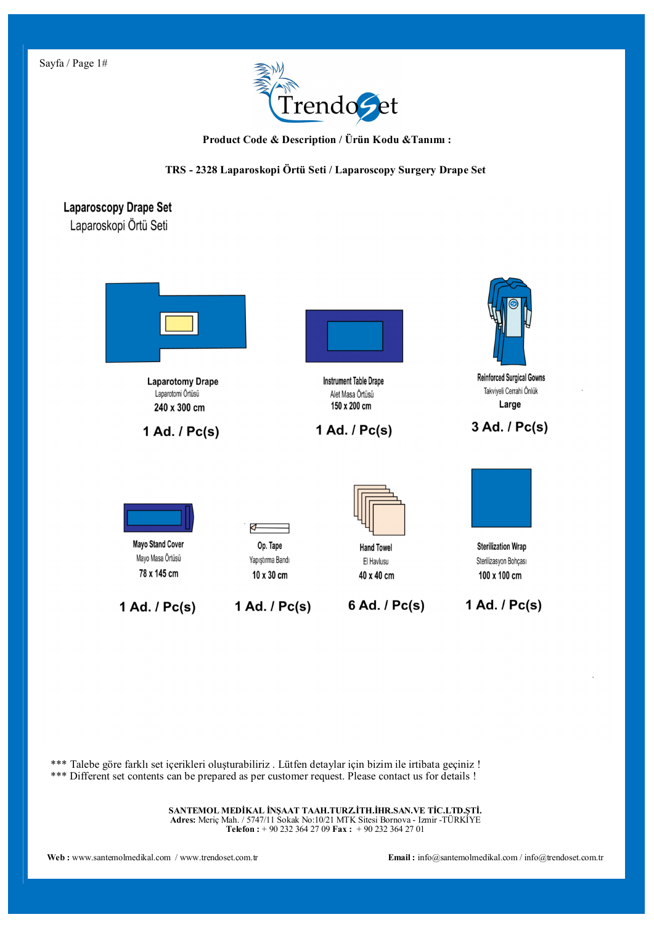

 **Product Code & Description / Ürün Kodu &Tanımı :**

**TRS - 2328 Laparoskopi Örtü Seti / Laparoscopy Surgery Drape Set**

## **Laparoscopy Drape Set**

Laparoskopi Örtü Seti



\*\*\* Talebe göre farklı set içerikleri oluşturabiliriz . Lütfen detaylar için bizim ile irtibata geçiniz ! \*\*\* Different set contents can be prepared as per customer request. Please contact us for details !

> **SANTEMOL MEDİKAL İNŞAAT TAAH.TURZ.İTH.İHR.SAN.VE TİC.LTD.ŞTİ. Adres:** Meriç Mah. / 5747/11 Sokak No:10/21 MTK Sitesi Bornova - Izmir -TÜRKİYE **Telefon :** + 90 232 364 27 09 **Fax :** + 90 232 364 27 01